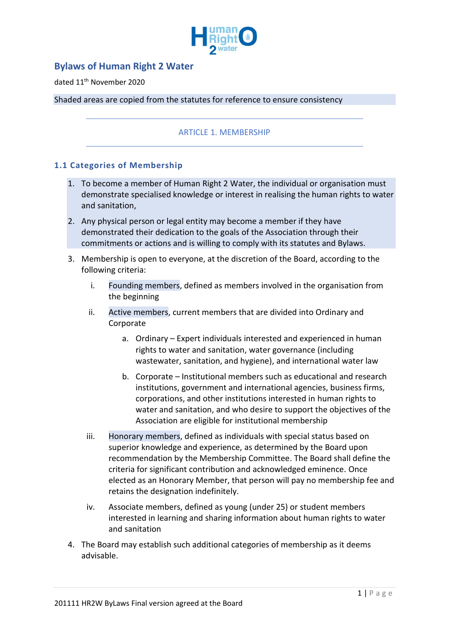

# **Bylaws of Human Right 2 Water**

## dated 11th November 2020

#### Shaded areas are copied from the statutes for reference to ensure consistency

## ARTICLE 1. MEMBERSHIP

#### **1.1 Categories of Membership**

- 1. To become a member of Human Right 2 Water, the individual or organisation must demonstrate specialised knowledge or interest in realising the human rights to water and sanitation,
- 2. Any physical person or legal entity may become a member if they have demonstrated their dedication to the goals of the Association through their commitments or actions and is willing to comply with its statutes and Bylaws.
- 3. Membership is open to everyone, at the discretion of the Board, according to the following criteria:
	- i. Founding members, defined as members involved in the organisation from the beginning
	- ii. Active members, current members that are divided into Ordinary and Corporate
		- a. Ordinary Expert individuals interested and experienced in human rights to water and sanitation, water governance (including wastewater, sanitation, and hygiene), and international water law
		- b. Corporate Institutional members such as educational and research institutions, government and international agencies, business firms, corporations, and other institutions interested in human rights to water and sanitation, and who desire to support the objectives of the Association are eligible for institutional membership
	- iii. Honorary members, defined as individuals with special status based on superior knowledge and experience, as determined by the Board upon recommendation by the Membership Committee. The Board shall define the criteria for significant contribution and acknowledged eminence. Once elected as an Honorary Member, that person will pay no membership fee and retains the designation indefinitely.
	- iv. Associate members, defined as young (under 25) or student members interested in learning and sharing information about human rights to water and sanitation
- 4. The Board may establish such additional categories of membership as it deems advisable.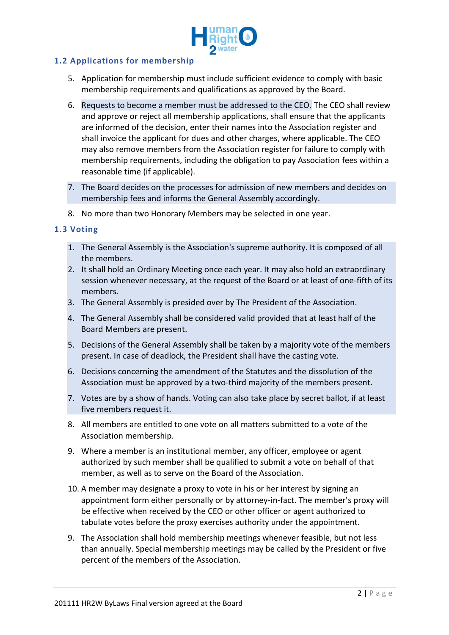

# **1.2 Applications for membership**

- 5. Application for membership must include sufficient evidence to comply with basic membership requirements and qualifications as approved by the Board.
- 6. Requests to become a member must be addressed to the CEO. The CEO shall review and approve or reject all membership applications, shall ensure that the applicants are informed of the decision, enter their names into the Association register and shall invoice the applicant for dues and other charges, where applicable. The CEO may also remove members from the Association register for failure to comply with membership requirements, including the obligation to pay Association fees within a reasonable time (if applicable).
- 7. The Board decides on the processes for admission of new members and decides on membership fees and informs the General Assembly accordingly.
- 8. No more than two Honorary Members may be selected in one year.

## **1.3 Voting**

- 1. The General Assembly is the Association's supreme authority. It is composed of all the members.
- 2. It shall hold an Ordinary Meeting once each year. It may also hold an extraordinary session whenever necessary, at the request of the Board or at least of one-fifth of its members.
- 3. The General Assembly is presided over by The President of the Association.
- 4. The General Assembly shall be considered valid provided that at least half of the Board Members are present.
- 5. Decisions of the General Assembly shall be taken by a majority vote of the members present. In case of deadlock, the President shall have the casting vote.
- 6. Decisions concerning the amendment of the Statutes and the dissolution of the Association must be approved by a two-third majority of the members present.
- 7. Votes are by a show of hands. Voting can also take place by secret ballot, if at least five members request it.
- 8. All members are entitled to one vote on all matters submitted to a vote of the Association membership.
- 9. Where a member is an institutional member, any officer, employee or agent authorized by such member shall be qualified to submit a vote on behalf of that member, as well as to serve on the Board of the Association.
- 10. A member may designate a proxy to vote in his or her interest by signing an appointment form either personally or by attorney-in-fact. The member's proxy will be effective when received by the CEO or other officer or agent authorized to tabulate votes before the proxy exercises authority under the appointment.
- 9. The Association shall hold membership meetings whenever feasible, but not less than annually. Special membership meetings may be called by the President or five percent of the members of the Association.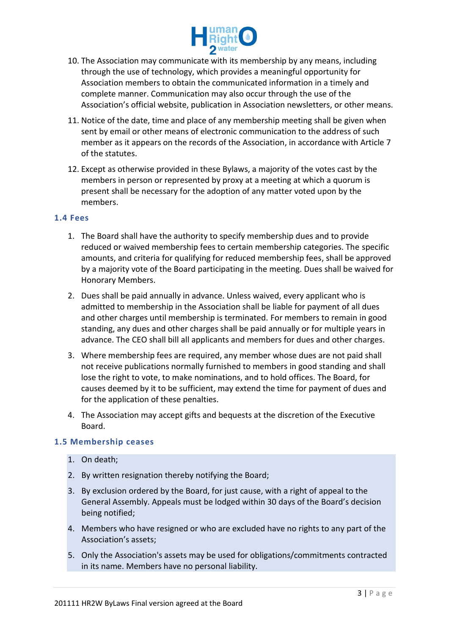

- 10. The Association may communicate with its membership by any means, including through the use of technology, which provides a meaningful opportunity for Association members to obtain the communicated information in a timely and complete manner. Communication may also occur through the use of the Association's official website, publication in Association newsletters, or other means.
- 11. Notice of the date, time and place of any membership meeting shall be given when sent by email or other means of electronic communication to the address of such member as it appears on the records of the Association, in accordance with Article 7 of the statutes.
- 12. Except as otherwise provided in these Bylaws, a majority of the votes cast by the members in person or represented by proxy at a meeting at which a quorum is present shall be necessary for the adoption of any matter voted upon by the members.

## **1.4 Fees**

- 1. The Board shall have the authority to specify membership dues and to provide reduced or waived membership fees to certain membership categories. The specific amounts, and criteria for qualifying for reduced membership fees, shall be approved by a majority vote of the Board participating in the meeting. Dues shall be waived for Honorary Members.
- 2. Dues shall be paid annually in advance. Unless waived, every applicant who is admitted to membership in the Association shall be liable for payment of all dues and other charges until membership is terminated. For members to remain in good standing, any dues and other charges shall be paid annually or for multiple years in advance. The CEO shall bill all applicants and members for dues and other charges.
- 3. Where membership fees are required, any member whose dues are not paid shall not receive publications normally furnished to members in good standing and shall lose the right to vote, to make nominations, and to hold offices. The Board, for causes deemed by it to be sufficient, may extend the time for payment of dues and for the application of these penalties.
- 4. The Association may accept gifts and bequests at the discretion of the Executive Board.

## **1.5 Membership ceases**

- 1. On death;
- 2. By written resignation thereby notifying the Board;
- 3. By exclusion ordered by the Board, for just cause, with a right of appeal to the General Assembly. Appeals must be lodged within 30 days of the Board's decision being notified;
- 4. Members who have resigned or who are excluded have no rights to any part of the Association's assets;
- 5. Only the Association's assets may be used for obligations/commitments contracted in its name. Members have no personal liability.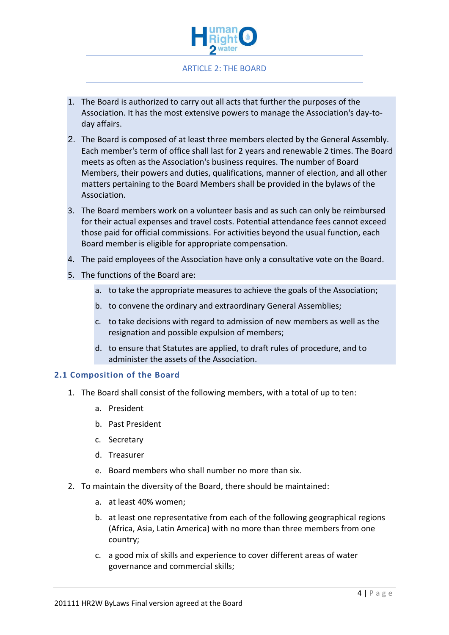

## ARTICLE 2: THE BOARD

- 1. The Board is authorized to carry out all acts that further the purposes of the Association. It has the most extensive powers to manage the Association's day-today affairs.
- 2. The Board is composed of at least three members elected by the General Assembly. Each member's term of office shall last for 2 years and renewable 2 times. The Board meets as often as the Association's business requires. The number of Board Members, their powers and duties, qualifications, manner of election, and all other matters pertaining to the Board Members shall be provided in the bylaws of the Association.
- 3. The Board members work on a volunteer basis and as such can only be reimbursed for their actual expenses and travel costs. Potential attendance fees cannot exceed those paid for official commissions. For activities beyond the usual function, each Board member is eligible for appropriate compensation.
- 4. The paid employees of the Association have only a consultative vote on the Board.
- 5. The functions of the Board are:
	- a. to take the appropriate measures to achieve the goals of the Association;
	- b. to convene the ordinary and extraordinary General Assemblies;
	- c. to take decisions with regard to admission of new members as well as the resignation and possible expulsion of members;
	- d. to ensure that Statutes are applied, to draft rules of procedure, and to administer the assets of the Association.

#### **2.1 Composition of the Board**

- 1. The Board shall consist of the following members, with a total of up to ten:
	- a. President
	- b. Past President
	- c. Secretary
	- d. Treasurer
	- e. Board members who shall number no more than six.
- 2. To maintain the diversity of the Board, there should be maintained:
	- a. at least 40% women;
	- b. at least one representative from each of the following geographical regions (Africa, Asia, Latin America) with no more than three members from one country;
	- c. a good mix of skills and experience to cover different areas of water governance and commercial skills;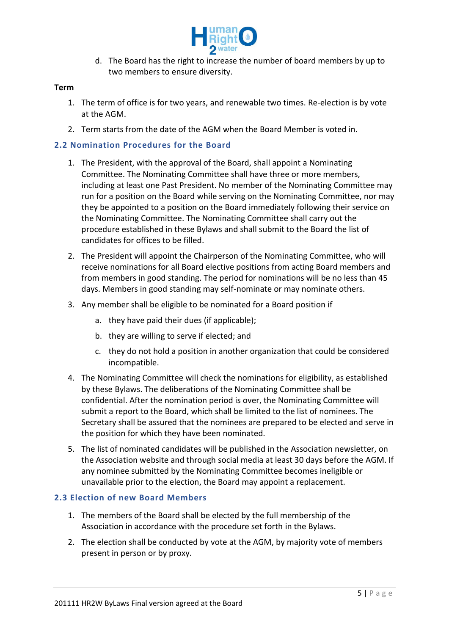

d. The Board has the right to increase the number of board members by up to two members to ensure diversity.

#### **Term**

- 1. The term of office is for two years, and renewable two times. Re-election is by vote at the AGM.
- 2. Term starts from the date of the AGM when the Board Member is voted in.

# **2.2 Nomination Procedures for the Board**

- 1. The President, with the approval of the Board, shall appoint a Nominating Committee. The Nominating Committee shall have three or more members, including at least one Past President. No member of the Nominating Committee may run for a position on the Board while serving on the Nominating Committee, nor may they be appointed to a position on the Board immediately following their service on the Nominating Committee. The Nominating Committee shall carry out the procedure established in these Bylaws and shall submit to the Board the list of candidates for offices to be filled.
- 2. The President will appoint the Chairperson of the Nominating Committee, who will receive nominations for all Board elective positions from acting Board members and from members in good standing. The period for nominations will be no less than 45 days. Members in good standing may self-nominate or may nominate others.
- 3. Any member shall be eligible to be nominated for a Board position if
	- a. they have paid their dues (if applicable);
	- b. they are willing to serve if elected; and
	- c. they do not hold a position in another organization that could be considered incompatible.
- 4. The Nominating Committee will check the nominations for eligibility, as established by these Bylaws. The deliberations of the Nominating Committee shall be confidential. After the nomination period is over, the Nominating Committee will submit a report to the Board, which shall be limited to the list of nominees. The Secretary shall be assured that the nominees are prepared to be elected and serve in the position for which they have been nominated.
- 5. The list of nominated candidates will be published in the Association newsletter, on the Association website and through social media at least 30 days before the AGM. If any nominee submitted by the Nominating Committee becomes ineligible or unavailable prior to the election, the Board may appoint a replacement.

## **2.3 Election of new Board Members**

- 1. The members of the Board shall be elected by the full membership of the Association in accordance with the procedure set forth in the Bylaws.
- 2. The election shall be conducted by vote at the AGM, by majority vote of members present in person or by proxy.